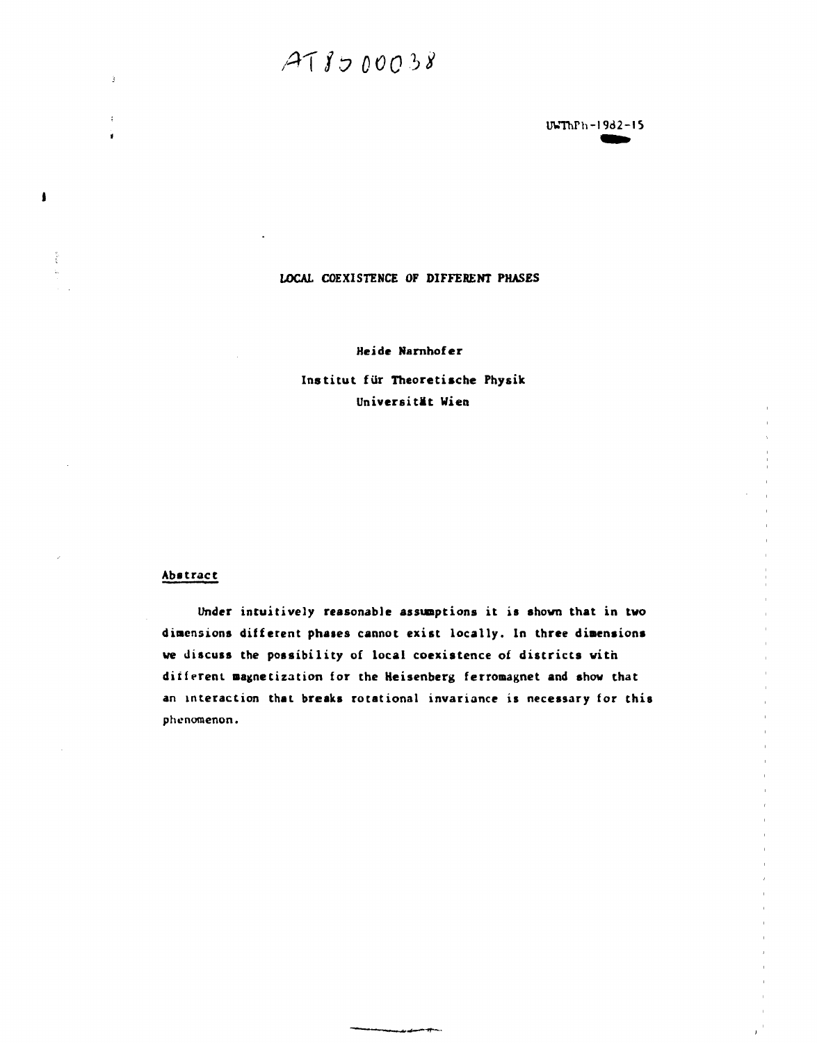# /\*T/i 7 *0OQ5X*

UWThPh-!982-l5

### **LOCAL COEXISTENCE OF DIFFERENT PHASES**

**Heide Narnhofer** 

**Institut für Theoretische Physik Universität Wien** 

## **Abstract**

 $\bar{\mathbf{3}}$ 

 $\blacksquare$ 

÷

**Under intuitively reasonable assumptions it is shown that in two dimensions different phases cannot exist locally. In three diaensions we discuss the possibility of local coexistence of districts with different magnetization for the Heisenberg ferromagnet and show that an interaction that breaks rotational invariance is necessary for this phenomenon.**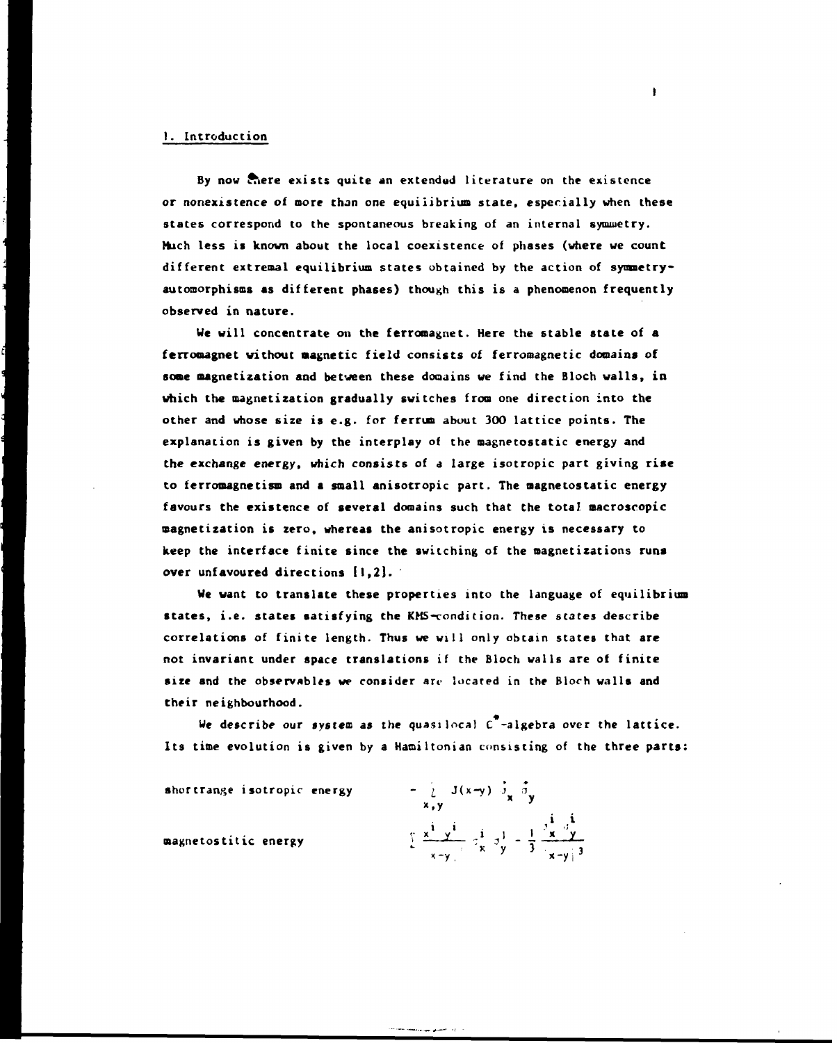## **1. Introduction**

**By now friere exists quite an extended literature on the existence or nonexistence of more than one equilibrium state, especially when these states correspond to the spontaneous breaking of an internal symmetry,**  Huch less is known about the local coexistence of phases (where we count **different extremal equilibrium states obtained by the action of symmetry\* automorphisms as different phases) though this is a phenomenon frequently observed in nature.** 

**We will concentrate on the ferromagnet. Here the stable state of a ferromagnet without magnetic field consists of ferromagnetic domains of some magnetization and between these domains we find the Bloch walls, in which the magnetization gradually switches from one direction into the other and whose size is e.g. for ferrum about 300 lattice points. The explanation is given by the interplay of the magnetostatic energy and the exchange energy, which consists of a large isotropic part giving rise to ferromagnetism and a small anisotropic part. The magnetostatic energy favours the existence of several domains such that the total macroscopic magnetization is zero, whereas the anisotropic energy is necessary to keep the interface finite since the switching of the magnetizations runs over unfavoured directions [1,2).** 

**We want to translate these properties into the language of equilibrium**  states, i.e. states satisfying the KMS-condition. These states describe **correlations of finite length. Thus we will only obtain states that are not invariant under space translations if the Bloch walls are of finite**  size and the observables we consider are located in the Bloch walls and **their neighbourhood.** 

**We describe our system** *as* **the quasi local C -algebra over the lattice. Its time evolution is given by a Hamiltonian consisting of the three parts:** 

shortrange isotropic energy

**-** *I* **JU-y)** *\* **« x.y i i V x** *y* **l ? ]** *I* **\_x y\_**   $x-y$ <sub>y</sub>  $x-y$ j

**magnetostitic energy**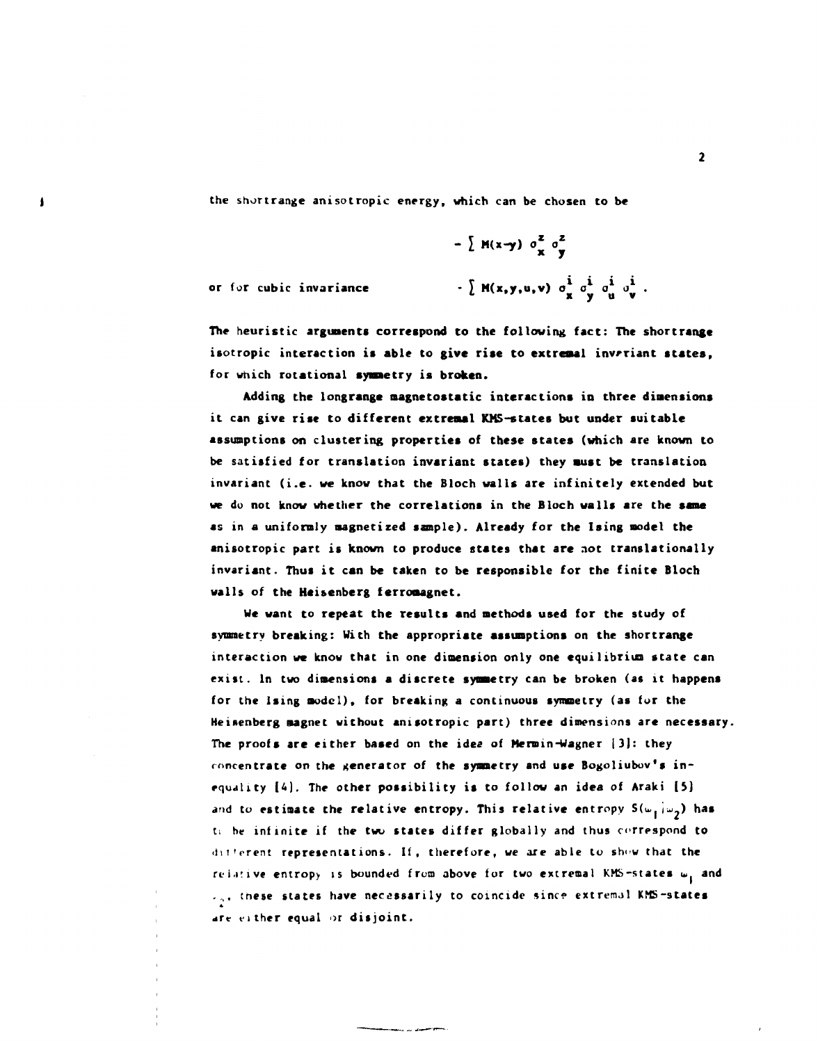**) the shortrange anisotropic energy, which can be chosen to be** 

$$
- \left[ M(x-y) \right] \sigma_x^2 \sigma_y^2
$$
  
or for cubic invariance  

$$
- \left[ M(x,y,u,v) \right] \sigma_x^1 \sigma_y^1 \sigma_u^1 \sigma_v^1.
$$

The heuristic arguments correspond to the following fact: The shortrange **isotropic interaction is able to give rise to extrenal invariant states, for which rotational synaetry is broken.** 

**Adding the longrange raagnetostatic interactions in three diaensions it can give rise to different extremal KMS-states but under suitable assumptions on clustering properties of these states (which are known to be satisfied for translation invariant states) they must be translation invariant (i.e. we know that the Bloch walls are infinitely extended but we do not know whether the correlations in the Bloch walls are the same as in a uniformly magnetized sample). Already for the Ising model the anisotropic part is known to produce states that are not translationally invariant. Thus it can be taken to be responsible for the finite Bloch walls of the Heisenberg ferromagnet.** 

**We want to repeat the results and methods used for the study of symmetry breaking: With Che appropriate assumptions on the shortrange interaction we know that in one dimension only one equilibrium state can exist. In two dimensions a discrete symmetry can be broken (as it happens for the Ising model), for breaking a continuous symmetry (as for the Heisenberg magnet without anisotropic part) three dimensions are necessary.**  The proofs are either based on the idea of Mermin-Wagner [3]: they **concentrate on the generator of the symmetry and use Bogoliubov's inequality 16). The other possibility is to follow an idea of Araki [5]**  and to estimate the relative entropy. This relative entropy  $S(\omega_1|\omega_2)$  has **t; he infinite if the two states differ globally and thus correspond to iii!'prent representations. If, therefore, we are able to show that the**  reiative entropy is bounded from above for two extremal KMS-states w<sub>i</sub> and **..,, tnese states have necessarily to coincide sine? extremal KMS-states art either equal or disjoint.**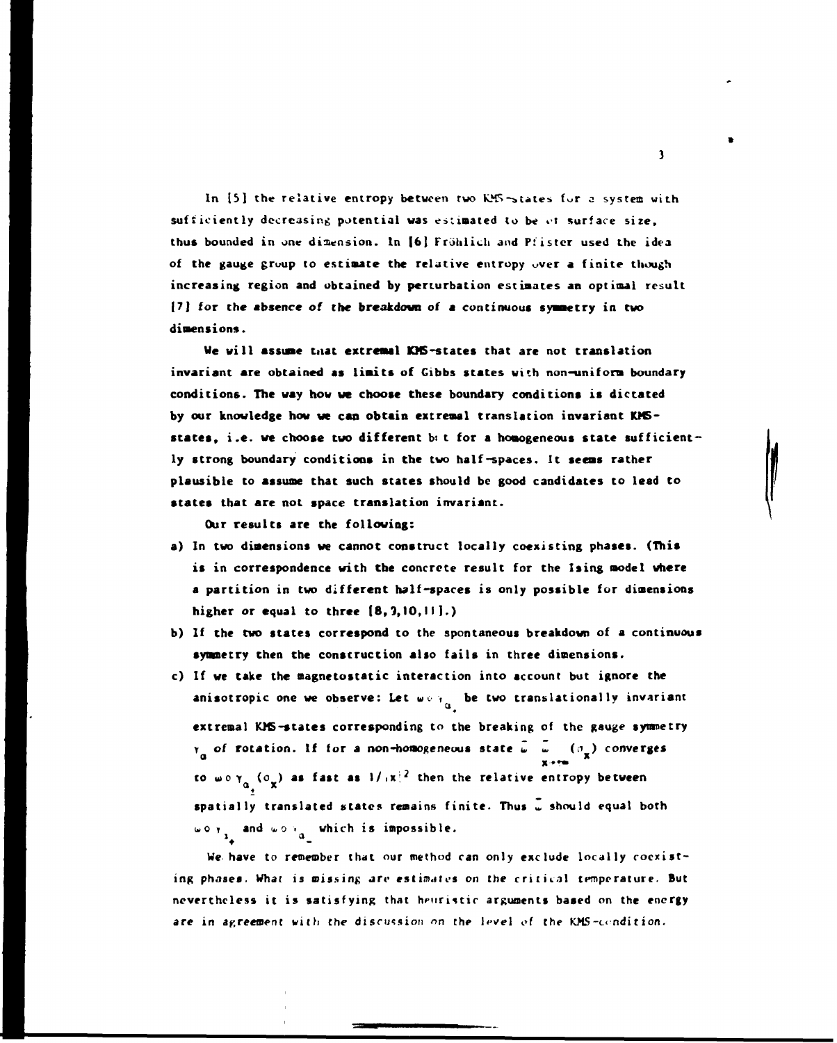In [5] the relative entropy between two KMS-states for a system with sufficiently decreasing potential was estimated to be of surface size. **thus bounded in one dimension. In (6] Fröhlich and P:ister used the idea of the gauge group to estimate the relative entropy uver a finite though increasing region and obtained by perturbation estimates an optimal result (7) for the absence of the breakdown of a continuous symmetry in two dimensions.** 

**We will assume tnat extremal KI6-states that are not translation invariant are obtained as limits of Cibbs states with non-uniform boundary conditions. The way how we choose these boundary conditions is dictated**  by our knowledge how we can obtain extremal translation invariant KMSstates, i.e. we choose two different bit for a homogeneous state sufficient**ly strong boundary conditions in the two half-spaces. It seems rather plausible to assume that such states should be good candidates to lead to states that are not space translation invariant.** 

**Our results are the following:** 

- **a) In two dimensions we cannot construct locally coexisting phases. (This**  is in correspondence with the concrete result for the Ising model where **a partition in two different half-spaces is only possible for dimensions higher or equal to three (8,9,10,11].)**
- **b) If the two states correspond to the spontaneous breakdown of a continuous symmetry then the construction also fails in three dimensions.**
- **c) If we take the magnetostatic interaction into account but ignore the anisotropic one we observe: Let wo , be two translationallv invariant a**  extremal KMS-states corresponding to the breaking of the gauge symmetry **extremal K State in the gauge symmetry of totation. If for a non-homogeneous state**  $\frac{1}{\mathbf{x}} \cdot \frac{1}{\mathbf{x}} \cdot (\frac{\partial}{\mathbf{x}})$  **converges to** *moy* **(0 ) as fast as l/. x <sup>2</sup> then the relative entropy between**  spatially translated states remains finite. Thus u should equal both **1\*0 t and** *i\*o* **• which is impossible.**

**We have to remember that our method can only exclude locally coexist**ing phases. What is missing are estimates on the critical temperature. But **nevertheless it is satisfying that heuristic arguments based on the energy**  are in agreement with the discussion on the level of the KMS-condition.

**3**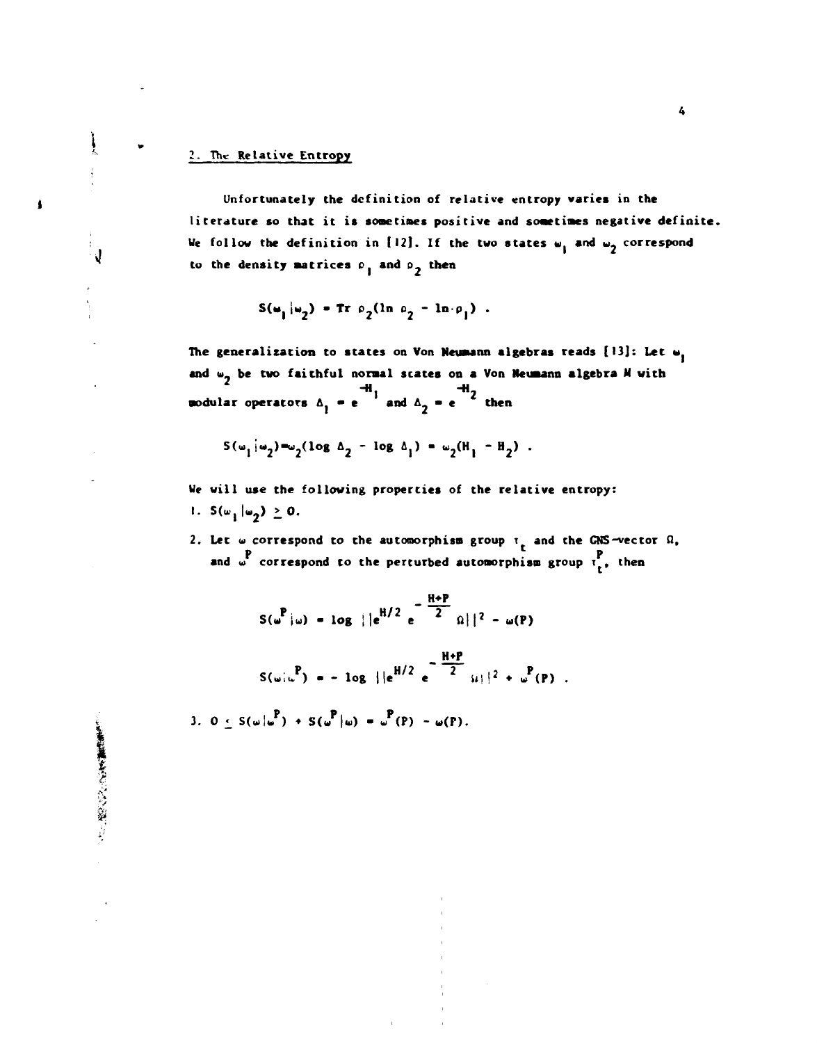# **2. The Relative Entropy**

ļ

 $\mathbf{J}$ 

のものをある あいかん あいかん あんかい しんじゅう かんじょう しんじょう かいかん かいかん しゅうかい しゅうかい しゅうしょう

 $\mathbf{I}$ 

Unfortunately the definition of relative entropy varies in the literature so that it is sometimes positive and sometimes negative definite. We follow the definition in [12]. If the two states  $w_1$  and  $w_2$  correspond to the density matrices  $\rho_1$  and  $\rho_2$  then

$$
S(\omega_1|\omega_2) = Tr \rho_2 (\ln \rho_2 - \ln \rho_1) .
$$

**The generalization to states on Von Neumann algebras reads (13]: Let w**  and w<sub>7</sub> be two faithful normal scates on a Von Neumann algebra M with **-H, -«<sup>2</sup> •bodular operators**  $\Delta_1$  **= e and**  $\Delta_2$  **= e then** 

$$
S(\omega_1|\omega_2) = \omega_2(\log \Delta_2 - \log \Delta_1) = \omega_2(H_1 - H_2).
$$

We will use the following properties of the relative entropy: **1.**  $S(\omega_1 | \omega_2) \ge 0.$ 

**2. Let w correspond to the automorphism group T and the CNS-vector fl, P <sup>C</sup> P and w correspond to the perturbed automorphism group T , then** 

$$
S(\omega^P|\omega) = \log ||e^{H/2} e^{-\frac{H+P}{2}} \Omega||^2 - \omega(P)
$$

$$
S(\omega|\omega^P) = -\log ||e^{H/2} e^{-\frac{H+P}{2}} u||^2 + \omega^P(P)
$$

**3.**  $0 \le S(\omega|\omega^*) + S(\omega^*|\omega) = \omega^*(P) - \omega(P)$ .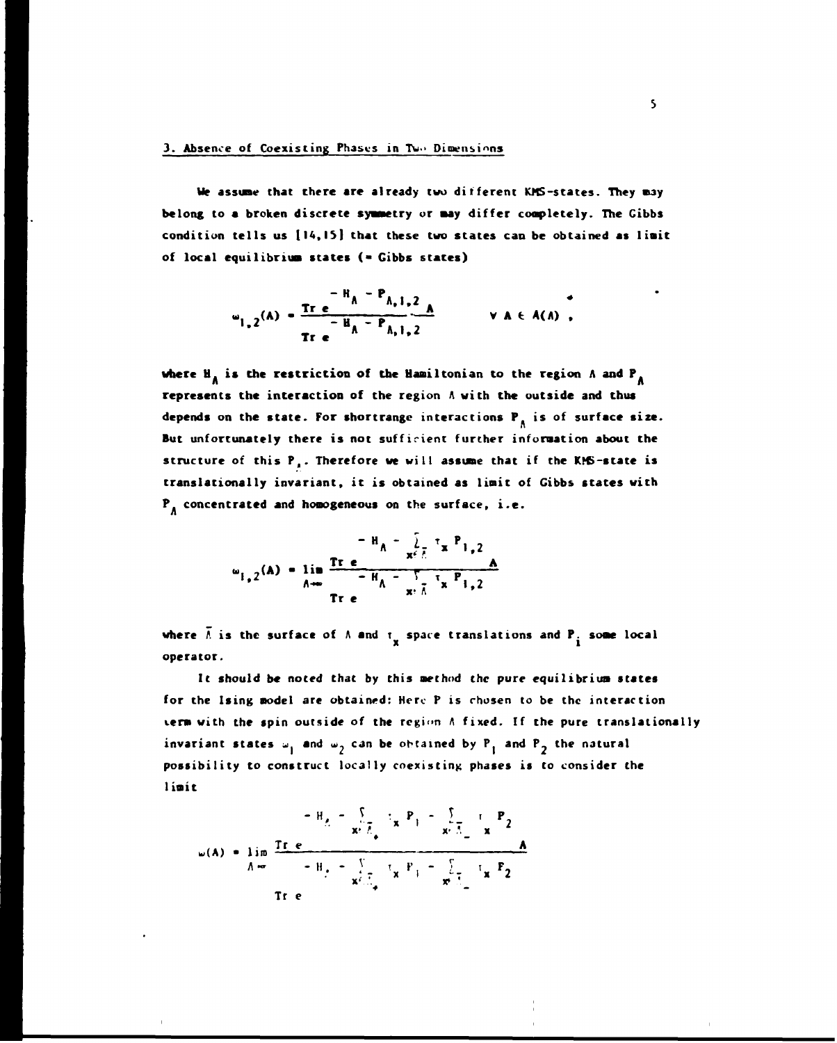# 3. Absence of Coexisting Phases in Two Dimensions

We assume that there are already two different KMS-states. They may **belong to a broken discrete symmetry or may differ completely. The Cibbs condition tells us 114,151 that these two states can be obtained as limit of local equilibrium states (• Gibbs states)** 

$$
w_{1,2}(A) = \frac{Tr e^{-H_A - P_{A,1,2}}}{Tr e^{-H_A - P_{A,1,2}}} \qquad \forall A \in A(A)
$$

where  $H_A$  is the restriction of the Hamiltonian to the region  $A$  and  $P_A$ **represents the interaction of the region A with the outside and thus depends on the state. For shortrangc interactions P. is of surface size.**  But unfortunately there is not sufficient further information about the **But unfortunately there is not sufficient further information about the structure of this P". Therefore we wi11 assume that if the KF6-state is translationally invariant, it is obtained as limit of Cibbs states with P. concentrated and homogeneous on the surface, i.e.** 

$$
= H_{\Lambda} - \frac{1}{x^{\epsilon} \bar{\Lambda}} \tau_{\mathbf{x}} P_{1,2}
$$
  

$$
\omega_{1,2}(\mathbf{A}) = \lim_{\Lambda \to 0} \frac{\text{Tr } e}{\tau_{\mathbf{x}} - H_{\Lambda} - \frac{\nabla}{\mathbf{x}^{\epsilon} \bar{\Lambda}} \tau_{\mathbf{x}} P_{1,2}}{\text{Tr } e}
$$

where  $\bar{A}$  is the surface of  $A$  and  $t_{\bf x}$  space translations and  $P_{\bf i}$  some local operator.

It should be noted that by this method the pure equilibrium states for the Ising model are obtained: Here P is chosen to be the interaction term with the spin outside of the region A fixed. If the pure translationally invariant states  $\omega_1$  and  $\omega_2$  can be obtained by  $P_1$  and  $P_2$  the natural possibility to construct locally coexisting phases is to consider the **possibility to construct locally coexisting phases is to consider the** 

$$
= H_{\frac{1}{2}} = \sum_{\substack{x \in \mathbb{Z}_+ \\ \Lambda, w}} \frac{1}{x} P_1 = \sum_{\substack{x \in \mathbb{Z}_+ \\ x \in \mathbb{Z}_+}} \frac{1}{x} P_2
$$
  
and  $\frac{1}{2} \ln \frac{1}{x} = \frac{1}{2} \ln \frac{1}{x} = \frac{1}{2} \ln \frac{1}{x} = \frac{1}{2} \ln \frac{1}{x} = \frac{1}{2} \ln \frac{1}{x} = \frac{1}{2} \ln \frac{1}{x} = \frac{1}{2} \ln \frac{1}{x} = \frac{1}{2} \ln \frac{1}{x} = \frac{1}{2} \ln \frac{1}{x} = \frac{1}{2} \ln \frac{1}{x} = \frac{1}{2} \ln \frac{1}{x} = \frac{1}{2} \ln \frac{1}{x} = \frac{1}{2} \ln \frac{1}{x} = \frac{1}{2} \ln \frac{1}{x} = \frac{1}{2} \ln \frac{1}{x} = \frac{1}{2} \ln \frac{1}{x} = \frac{1}{2} \ln \frac{1}{x} = \frac{1}{2} \ln \frac{1}{x} = \frac{1}{2} \ln \frac{1}{x} = \frac{1}{2} \ln \frac{1}{x} = \frac{1}{2} \ln \frac{1}{x} = \frac{1}{2} \ln \frac{1}{x} = \frac{1}{2} \ln \frac{1}{x} = \frac{1}{2} \ln \frac{1}{x} = \frac{1}{2} \ln \frac{1}{x} = \frac{1}{2} \ln \frac{1}{x} = \frac{1}{2} \ln \frac{1}{x} = \frac{1}{2} \ln \frac{1}{x} = \frac{1}{2} \ln \frac{1}{x} = \frac{1}{2} \ln \frac{1}{x} = \frac{1}{2} \ln \frac{1}{x} = \frac{1}{2} \ln \frac{1}{x} = \frac{1}{2} \ln \frac{1}{x} = \frac{1}{2} \ln \frac{1}{x} = \frac{1}{2} \ln \frac{1}{x} = \frac{1}{2} \ln \frac{1}{x} = \frac{1}{2} \ln \frac{1}{x} = \frac{1}{2} \ln \frac{1}{x} = \frac{1}{2} \ln \frac{1}{x} = \frac{1}{2$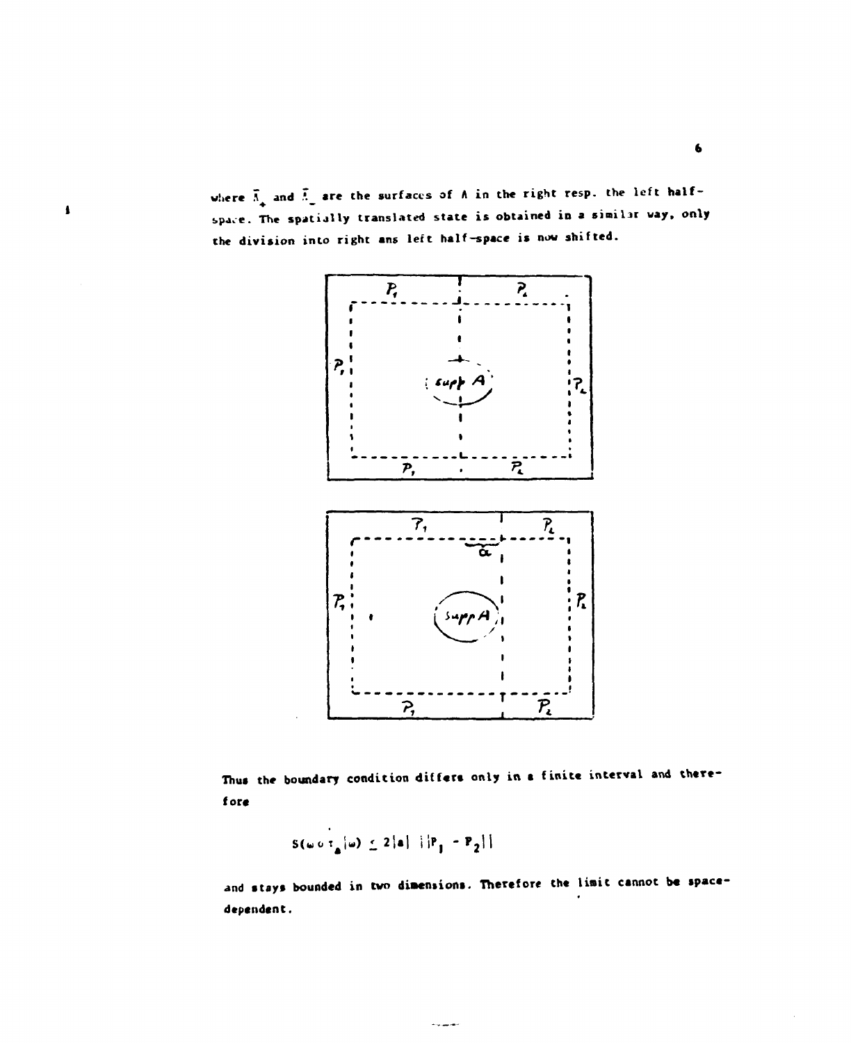where  $\bar{\Lambda}_+$  and  $\bar{\Lambda}_-$  are the surfaces of  $\Lambda$  in the right resp. the left half-**• spavc. The spatiall y translated stat e i s obtained in a similar way, only the division into right ans left half-space is now shifted.** 

 $\pmb{\Lambda}$ 



Thus the boundary condition differs only in a finite interval and there**for«** 

$$
S(\omega \circ \tau_{\mathbf{a}}(\omega) \leq 2|\mathbf{a}| \cdot ||\mathbf{P}_{\mathbf{1}} - \mathbf{P}_{\mathbf{2}}||
$$

 $\bullet$ 

and stays bounded in two dimensions. Therefore the limit cannot be space**dependent.** 

متعاصف والما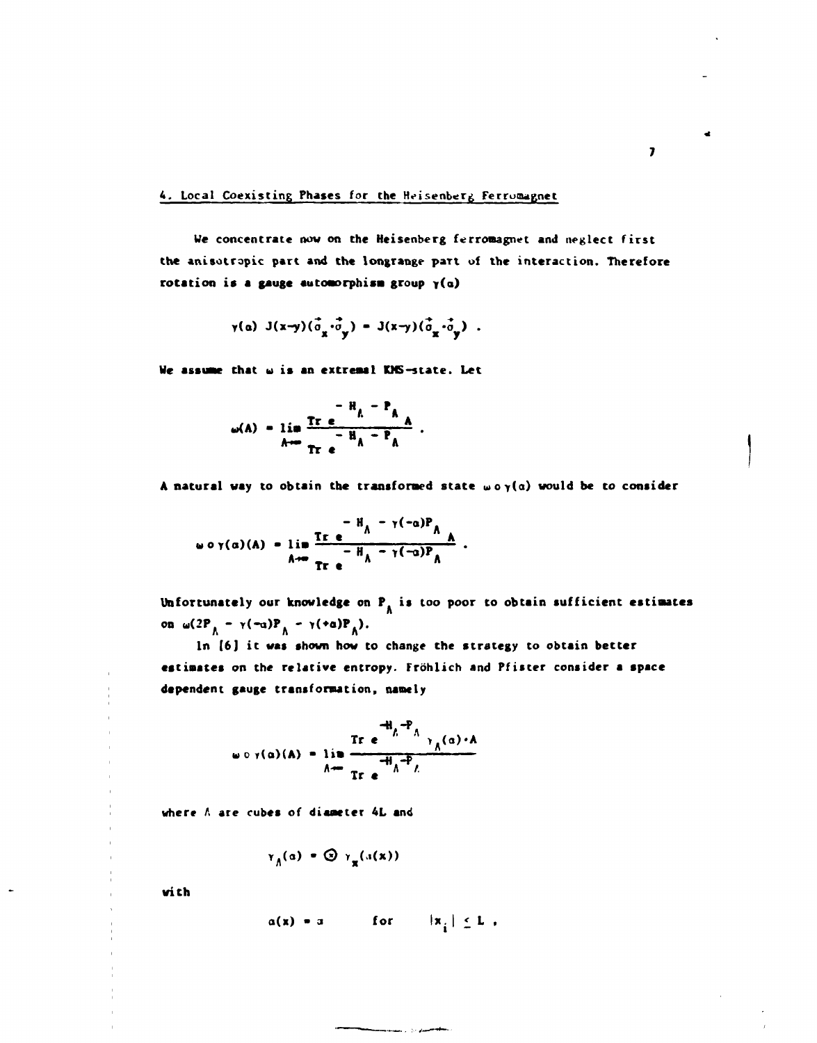We concentrate now on the Heisenberg ferromagnet and neglect first **the anisotropic part and the longrange part uf the interaction. Therefore rotation is a gauge «utoaorphisa group y(«)** 

$$
\gamma(\alpha) J(x-y)(\vec{\sigma}_x \cdot \vec{\sigma}_y) = J(x-y)(\vec{\sigma}_x \cdot \vec{\sigma}_y) .
$$

**We assuae chat w is an extremal** KKS-state. **Let** 

$$
\omega(A) = \lim_{\Delta \to 0} \frac{\text{Tr } e^{-\frac{H_{\Lambda}}{2} - \frac{P_{\Lambda}}{2}} A}{\text{Tr } e^{-\frac{H_{\Lambda}}{2} - \frac{P_{\Lambda}}{2}}}.
$$

**A natural way to obtain the transformed state**  $\omega \circ \gamma(\alpha)$  **would be to consider** 

$$
= H_{\Lambda} - \gamma(-\alpha)P_{\Lambda}
$$
  
\n
$$
\omega \circ \gamma(\alpha)(A) = \lim_{\Lambda \to \infty} \frac{Tr e^{-\frac{H_{\Lambda}}{T}} - H_{\Lambda} - \gamma(-\alpha)P_{\Lambda}}{Tr e^{-\frac{H_{\Lambda}}{T}} - \gamma(-\alpha)P_{\Lambda}}.
$$

Unfortunately our knowledge on P<sub>A</sub> is too poor to obtain sufficient estimates **on**  $\omega(2P_A - \gamma(-a)P_A - \gamma(+a)P_A)$ .

**In [6] it was shown how to change the strategy to obtain better cstiaates on the relative entropy. Fröhlich and Pfister consider a space dependent gauge transformation, namely** 

$$
\begin{array}{c}\n\cdots \\
\omega \circ \gamma(\alpha)(A) = \lim_{\Lambda \to \infty} \frac{\text{Tr } e^{-\frac{H_A}{\mu} - P_A} \cdot \gamma_A(\alpha) \cdot A}{\text{Tr } e^{-\frac{H_A - P_A}{\mu}}}\n\end{array}
$$

$$
\gamma_{A}(\alpha) = \bigcirc \gamma_{B}(\alpha(x))
$$

**A X** 

**with** 

$$
\alpha(x) = x \quad \text{for} \quad |x_{1}| \leq L,
$$

معاونان المتفاة

**7** 

 $\bullet$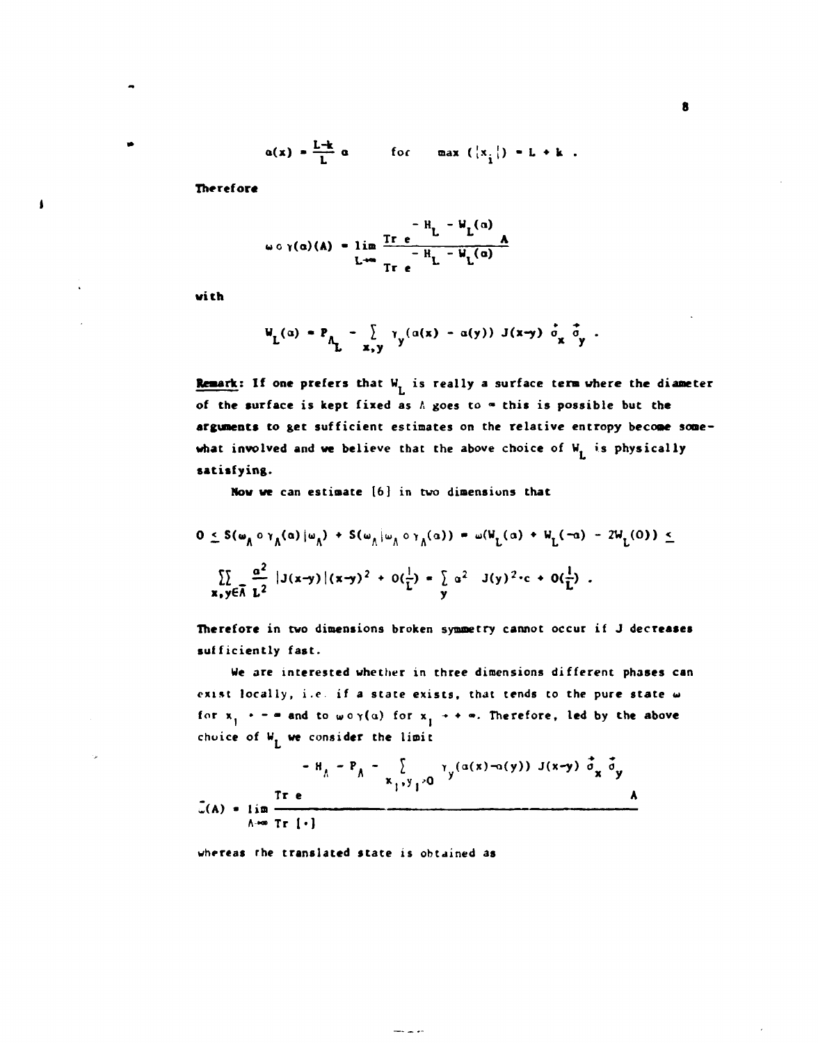$$
\alpha(x) = \frac{L-k}{L} \alpha \quad \text{for} \quad \max \left( \left\{ x_i \right\} \right) = L + k \; .
$$

**Therefore** 

$$
\omega \circ \gamma(\alpha) \text{ (A)} = \lim_{L \to \infty} \frac{\text{Tr } e^{-H}L^{-H}L^{(\alpha)} }{\text{Tr } e^{-H}L^{-H}L^{(\alpha)}}
$$

**with** 

 $\blacktriangle$ 

$$
W_{L}(\alpha) = P_{A_{L}} - \sum_{x,y} \gamma_{y}(\alpha(x) - \alpha(y)) J(x-y) \sigma_{x} \sigma_{y}.
$$

**Remark:** If one prefers that W<sub>L</sub> is really a surface term where the diameter of the surface is kept fixed as  $\Lambda$  goes to  $\infty$  this is possible but the **arguments to get sufficient estimates on the relative entropy become some**what involved and we believe that the above choice of W<sub>1</sub> is physically **satisfying.** 

**Now we can estimate 16] in two dimensions that** 

$$
0 \leq S(\omega_{\Lambda} \circ \gamma_{\Lambda}(\alpha) | \omega_{\Lambda}) + S(\omega_{\Lambda} | \omega_{\Lambda} \circ \gamma_{\Lambda}(\alpha)) = \omega(W_{L}(\alpha) + W_{L}(\alpha) - 2W_{L}(0)) \leq
$$
  

$$
\sum_{\mathbf{x}, \mathbf{y} \in \Lambda} \frac{\alpha^{2}}{L^{2}} |J(\mathbf{x} - \mathbf{y})| (\mathbf{x} - \mathbf{y})^{2} + O(\frac{1}{L}) = \sum_{\mathbf{y}} \alpha^{2} |J(\mathbf{y})|^{2} \cdot c + O(\frac{1}{L}).
$$

**Therefore in two dimensions broken symmetry cannot occur if J decreases sufficiently fast.** 

**We are interested whether in three dimensions different phases can**  exist locally, i.e. if a state exists, that tends to the pure state **w** for  $x_1 \rightarrow -$  and to  $w \circ \gamma(a)$  for  $x_1 \rightarrow +$   $\infty$ . Therefore, led by the above choice of W<sub>1</sub> we consider the limit

$$
-H_A - P_A - \sum_{x_1, y_1 \ge 0} \gamma_y(\alpha(x) - \alpha(y)) J(x-y) \frac{\partial}{\partial x} \frac{\partial}{\partial y}
$$
  
or 
$$
I(x_1, y_1) = \sum_{x_1, y_1 \ge 0} I(x_1, y_1) J(x_1, y_1) \frac{\partial}{\partial y_1} \frac{\partial}{\partial y_1} \frac{\partial}{\partial y_1}
$$

 $\frac{1}{2}$ 

**whereas the translated state is obtained as**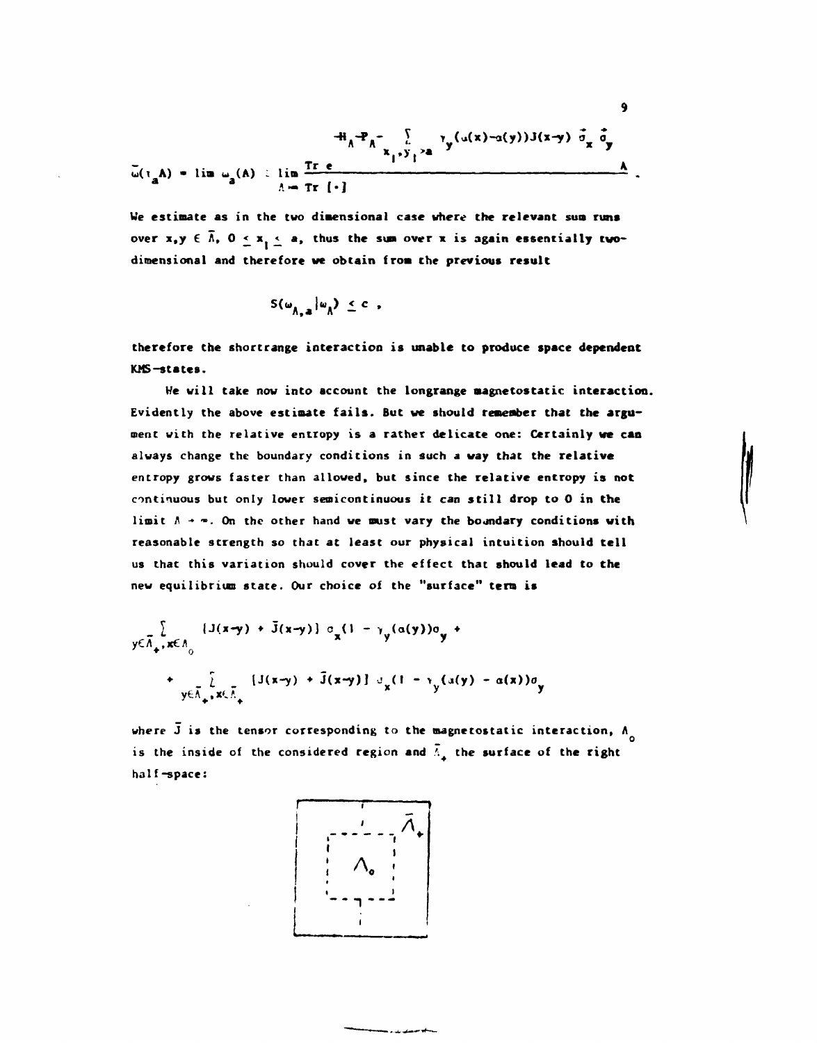$$
H_A-P_A-\sum_{x_1,y_1\geq a}y_1(u(x)-u(y))J(x-y) \frac{\partial}{\partial x} \frac{\partial}{\partial y}
$$
  

$$
\bar{u}(t_{a}A) = \lim_{a \to a} u_{a}(A) \perp \lim_{A \to T} \frac{Tr}{[ \cdot ]}
$$

 $\bullet$ 

We estimate as in the two dimensional case where the relevant sua runs over  $x, y \in \overline{\Lambda}$ ,  $0 \le x, \le a$ , thus the sum over x is again essentially twodimensional and therefore we obtain from the previous result

$$
S(\omega_{\Lambda,a}|\omega_{\Lambda}) \leq c \quad ,
$$

therefore the shortrange interaction is unable to produce space dependent **KMS**-states.

He will take now into account the longrange magnetostatic interaction. Evidently the above estimate fails. But we should remember that the argument with the relative entropy is a rather delicate one: Certainly we **can**  always change the boundary conditions in such a way that the relative entropy grows faster than allowed, but since the relative entropy is not continuous but only lower semicontinuous it can still drop to 0 in the limit  $A \rightarrow \infty$ . On the other hand we must vary the boundary conditions with reasonable strength so that at least our physical intuition should tell us that this variation should cover the effect that should lead to the new equilibrium state. Our choice of the "surface" term is

*I* U(x-y) • J(x-y)] o(l - > (a(y))o • y€A<sup>+</sup> ,x€A<sup>o</sup> y y • *l* U(\*-y) • J(x-y)J J (I - > (a(y) *- a(x))a*  yeÄ^.x ^ \**<sup>y</sup>*

where  $\bar{J}$  is the tensor corresponding to the magnetostatic interaction,  $\Lambda_{\mu}$ is the inside of the considered region and  $\bar{h}_2$  the surface of the right half-space:

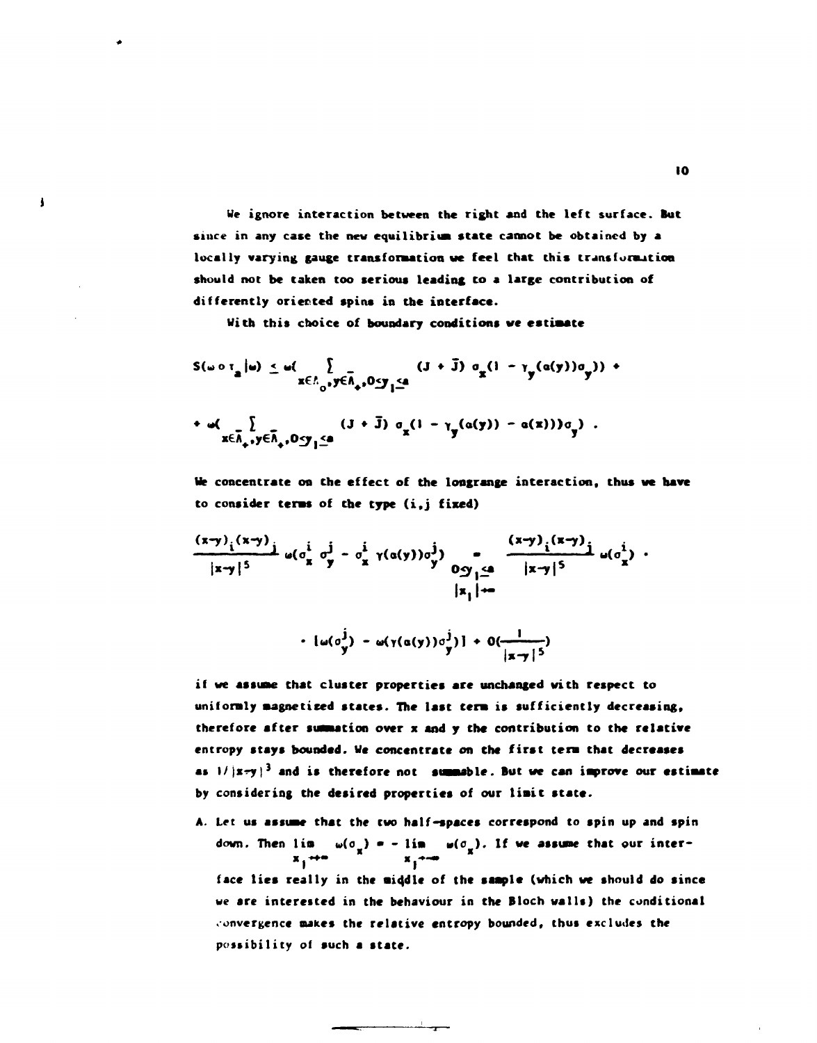**We ignore interaction between the right and the left surface. But**  since in any case the new equilibrium state cannot be obtained by a **locally varying gauge transformation we feel that this trans formation should not be taken too serious leading to a targe contribution of differently orierted spins in the interface.** 

**With this choice of boundary conditions we estimate** 

 $\mathbf{I}$ 

$$
S(\omega \circ \tau_{\underline{a}}|\omega) \leq \omega \Big( \sum_{x \in \Lambda_{\underline{a}}, y \in \overline{\Lambda}_{\underline{a}}, 0 \leq y} (J + \overline{J}) \sigma_{\underline{x}}(1 - \gamma_{\underline{y}}(a(y))\sigma_{\underline{y}}) \Big) +
$$
  
+ 
$$
\omega \Big( \sum_{x \in \overline{\Lambda}_{\underline{a}}, y \in \overline{\Lambda}_{\underline{a}}, 0 \leq y} (J + \overline{J}) \sigma_{\underline{x}}(1 - \gamma_{\underline{y}}(a(y)) - a(x)) \sigma_{\underline{y}} \Big) .
$$

**We concentrate on the effect of the longrange interaction, thus we have**  to consider terms of the type (i,j fixed)

$$
\frac{(x-y)_{i}(x-y)}{|x-y|^{5}} \omega(\sigma_{x}^{i} \sigma_{y}^{j} - \sigma_{x}^{i} \gamma(\alpha(y))\sigma_{y}^{j}) \sum_{\substack{0 \leq j \leq 4 \\ |x_{j}| \neq n}} \frac{(x-y)_{i}(x-y)}{|x-y|^{5}} \omega(\sigma_{x}^{i})
$$

$$
\cdot [\omega(\sigma_y^j) - \omega(\gamma(\alpha(y))\sigma_y^j)] + O(\frac{1}{|x-y|^5})
$$

**if we assuae that cluster properties are unchanged with respect to uniformly magnetized states. The last tens is sufficiently decreasing, therefore after summation over x and y the contribution to the relative entropy stays bounded. We concentrate on Che first tern that decreases**  as  $1/|x-y|^3$  and is therefore not summable. But we can improve our estimate **by considering the desired properties of our limit state.** 

**A. Let us assume that the two half-spaces correspond to spin up and spin down. Then lim**  $\omega(\sigma_x) = -\lim_{x \to \infty} \omega(\sigma_x)$ **. If we assume that our inter-**

**face lies really in the middle of the sample (which we should do since we are interested in the behaviour in the Bloch walls) the conditional**  convergence makes the relative entropy bounded, thus excludes the **possibility of such a state.**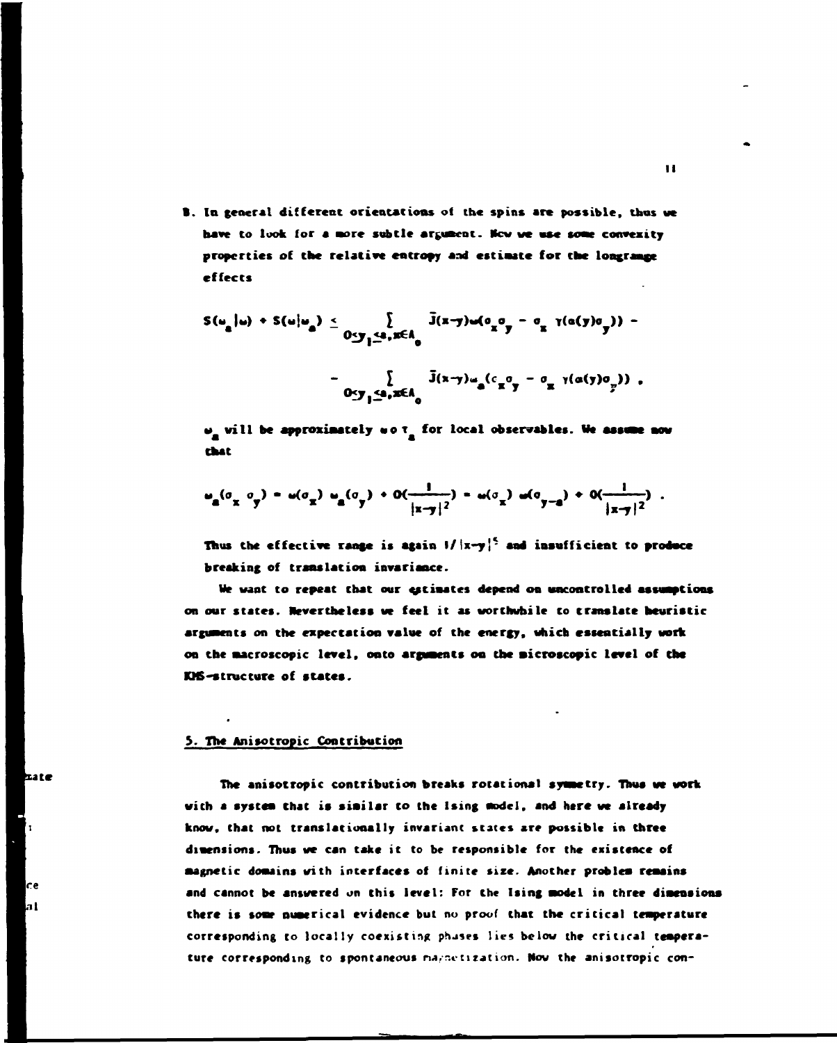**B. In general different orientations ot the spins arc possible, thus we**  have to look for a more subtle argument. How we use some convexity properties of the relative entropy and estimate for the longrange **effects** 

$$
S(\omega_{\mathbf{a}}|\omega) + S(\omega|\omega_{\mathbf{a}}) \leq \sum_{0 \leq y_1 \leq \mathbf{a}, \, \text{attn } \mathbf{b}} \bar{J}(x-y) \omega(o_{x}o_{y} - o_{x} \gamma(a(y)o_{y})) - \sum_{0 \leq y_1 \leq \mathbf{a}, \, \text{attn } \mathbf{b}} \bar{J}(x-y) \omega_{\mathbf{a}}(c_{x}o_{y} - o_{x} \gamma(a(y)o_{y}))
$$

**w** will be approximately wo **T** for local observables. We assume now **chat** 

$$
\omega_{a}(\sigma_{x} \sigma_{y}) = \omega(\sigma_{x}) \omega_{a}(\sigma_{y}) + O(\frac{1}{|x-y|^{2}}) = \omega(\sigma_{x}) \omega(\sigma_{y-a}) + O(\frac{1}{|x-y|^{2}}).
$$

Thus the effective range is again  $1/|x-y|^5$  and insufficient to produce **breaking of translation invariance.** 

**Me want to repeat that our estimates depend on uncontrolled assumptions on our states. Nevertheless we feel it as worthwhile to translate heuristic arguments on the expectation value of the energy, which essentially work**  on the macroscopic level, onto arguments on the microscopic level of the **D6-structure of states.** 

#### **3. The Anisotropic Contribution**

**zate** 

**The anisotropic contribution breaks rotational symmetry. Thus we work with a system that is siailar to the Ising model, and here we already know, that not trans1stionally invariant states are possible in three dimensions. Thus we can take it to be responsible for the existence of magnetic domains with interfaces of finite size. Another problem remains and cannot be answered on this level: For the Ising model in three dimensions there is somr numerical evidence but nu proof that the critical temperature corresponding to locally coexisting phases lies below the critical tempera**ture corresponding to spontaneous magnetization. Now the anisotropic con-

**II**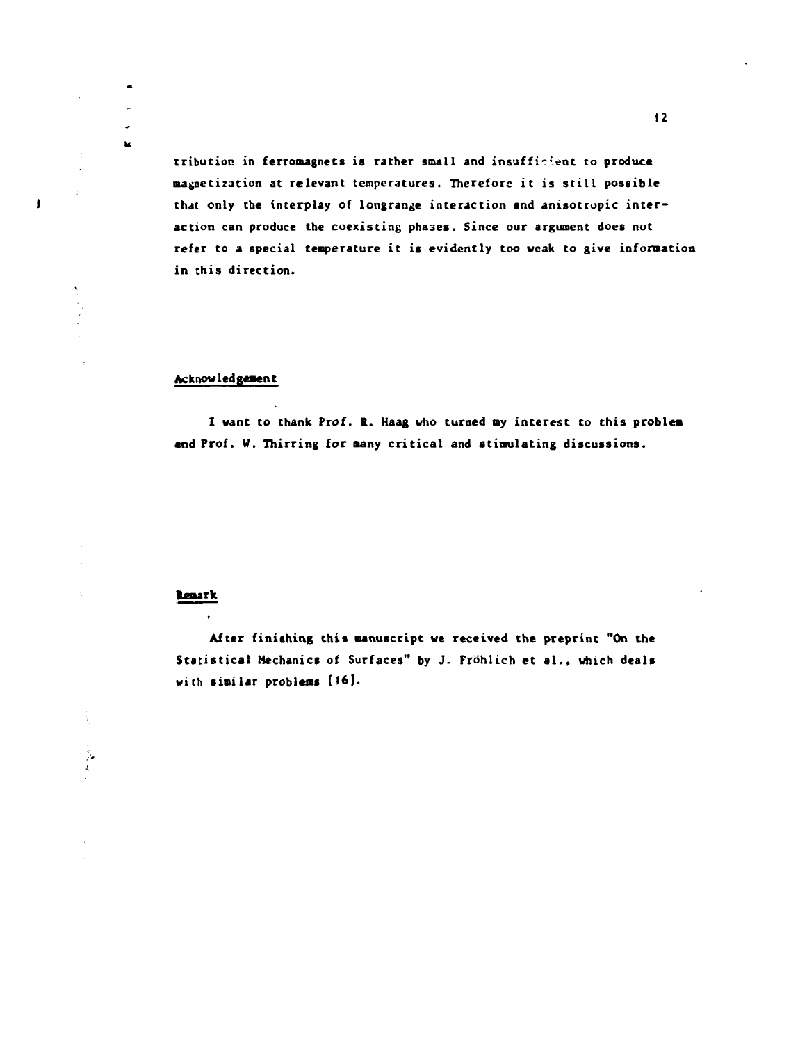**tribution in ferroaagnets is rather small and insufficient to produce magnetization at relevant temperatures. Therefore it is still possible that only the interplay of longrange interaction and anisotropic interaction can produce the coexisting phases. Since our argument does not refer to a special temperature it is evidently too weak to give information in this direction.** 

#### **Acknowledgement**

 $\bullet$  $\pmb{\mu}$ 

 $\mathbf{j}$ 

I want to thank Prof. R. Haag who turned my interest to this problem **and Prof. W. Thirring for many critical and stimulating discussions.** 

#### **temark**

 $\frac{7}{4}$ 

**After finishing this manuscript we received the preprint "On the Statistical Mechanics of Surfaces" by J. Fröhlich et al., which deals with similar problems (16).**